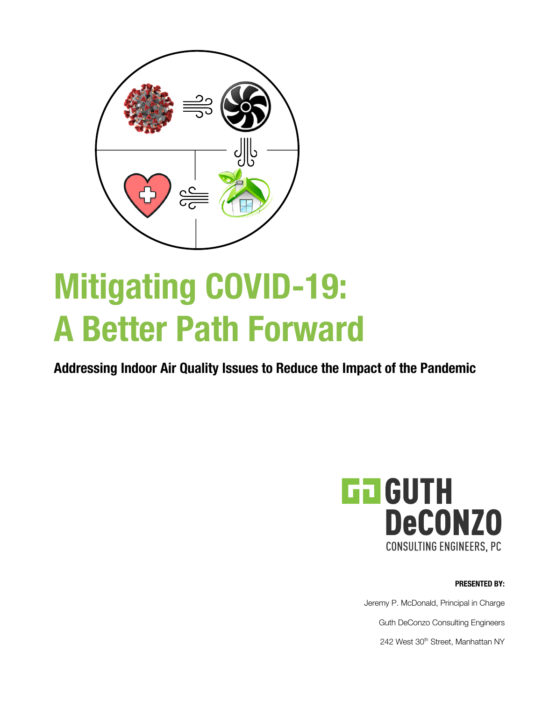

# **Mitigating COVID-19: A Better Path Forward**

**Addressing Indoor Air Quality Issues to Reduce the Impact of the Pandemic**



**PRESENTED BY:**

Jeremy P. McDonald, Principal in Charge Guth DeConzo Consulting Engineers 242 West 30<sup>th</sup> Street, Manhattan NY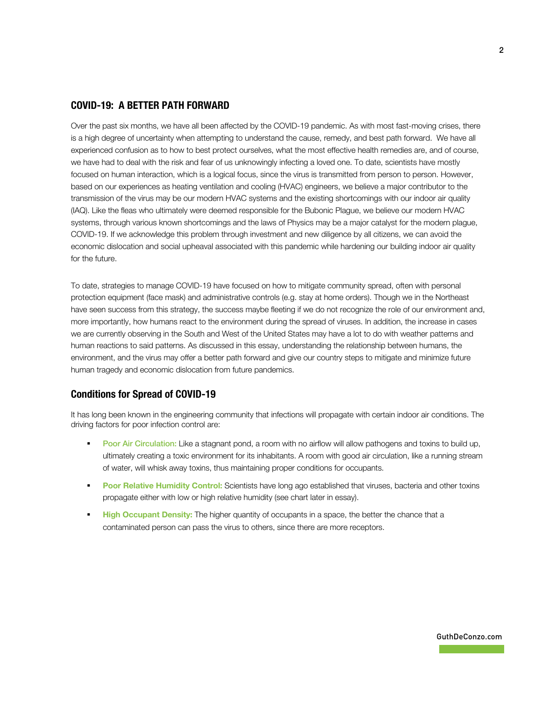## **COVID-19: A BETTER PATH FORWARD**

Over the past six months, we have all been affected by the COVID-19 pandemic. As with most fast-moving crises, there is a high degree of uncertainty when attempting to understand the cause, remedy, and best path forward. We have all experienced confusion as to how to best protect ourselves, what the most effective health remedies are, and of course, we have had to deal with the risk and fear of us unknowingly infecting a loved one. To date, scientists have mostly focused on human interaction, which is a logical focus, since the virus is transmitted from person to person. However, based on our experiences as heating ventilation and cooling (HVAC) engineers, we believe a major contributor to the transmission of the virus may be our modern HVAC systems and the existing shortcomings with our indoor air quality (IAQ). Like the fleas who ultimately were deemed responsible for the Bubonic Plague, we believe our modern HVAC systems, through various known shortcomings and the laws of Physics may be a major catalyst for the modern plague, COVID-19. If we acknowledge this problem through investment and new diligence by all citizens, we can avoid the economic dislocation and social upheaval associated with this pandemic while hardening our building indoor air quality for the future.

To date, strategies to manage COVID-19 have focused on how to mitigate community spread, often with personal protection equipment (face mask) and administrative controls (e.g. stay at home orders). Though we in the Northeast have seen success from this strategy, the success maybe fleeting if we do not recognize the role of our environment and, more importantly, how humans react to the environment during the spread of viruses. In addition, the increase in cases we are currently observing in the South and West of the United States may have a lot to do with weather patterns and human reactions to said patterns. As discussed in this essay, understanding the relationship between humans, the environment, and the virus may offer a better path forward and give our country steps to mitigate and minimize future human tragedy and economic dislocation from future pandemics.

## **Conditions for Spread of COVID-19**

It has long been known in the engineering community that infections will propagate with certain indoor air conditions. The driving factors for poor infection control are:

- Poor Air Circulation: Like a stagnant pond, a room with no airflow will allow pathogens and toxins to build up, ultimately creating a toxic environment for its inhabitants. A room with good air circulation, like a running stream of water, will whisk away toxins, thus maintaining proper conditions for occupants.
- **Poor Relative Humidity Control:** Scientists have long ago established that viruses, bacteria and other toxins propagate either with low or high relative humidity (see chart later in essay).
- **High Occupant Density:** The higher quantity of occupants in a space, the better the chance that a contaminated person can pass the virus to others, since there are more receptors.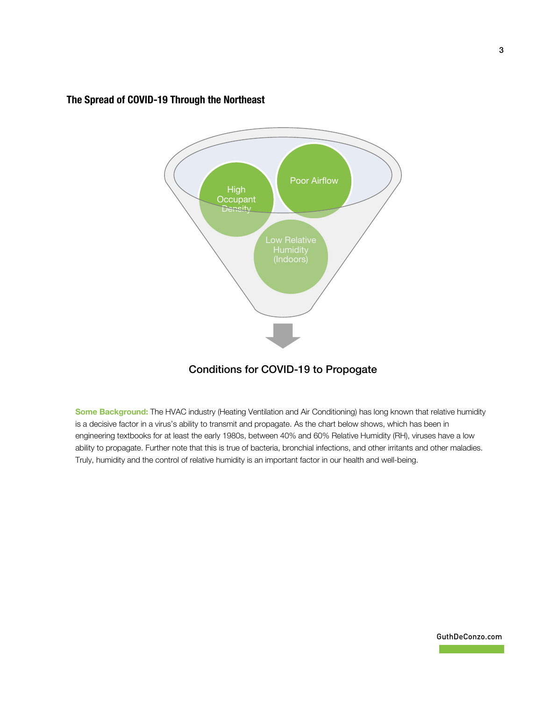

# **The Spread of COVID-19 Through the Northeast**

# Conditions for COVID-19 to Propogate

**Some Background:** The HVAC industry (Heating Ventilation and Air Conditioning) has long known that relative humidity is a decisive factor in a virus's ability to transmit and propagate. As the chart below shows, which has been in engineering textbooks for at least the early 1980s, between 40% and 60% Relative Humidity (RH), viruses have a low ability to propagate. Further note that this is true of bacteria, bronchial infections, and other irritants and other maladies. Truly, humidity and the control of relative humidity is an important factor in our health and well-being.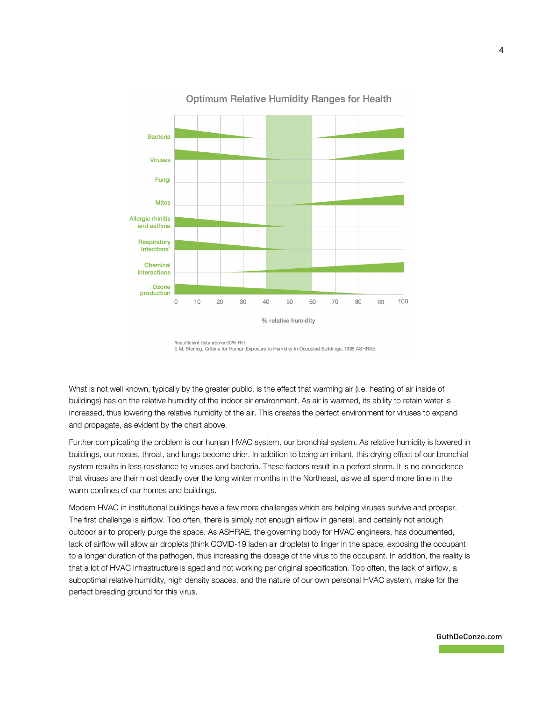

## **Optimum Relative Humidity Ranges for Health**

1Insufficient data above 50% RH. E.M. Sterling. Criteria for Human Exposure to Humidity in Occupied Buildings, 1985 ASHRAE.

What is not well known, typically by the greater public, is the effect that warming air (i.e. heating of air inside of buildings) has on the relative humidity of the indoor air environment. As air is warmed, its ability to retain water is increased, thus lowering the relative humidity of the air. This creates the perfect environment for viruses to expand and propagate, as evident by the chart above.

Further complicating the problem is our human HVAC system, our bronchial system. As relative humidity is lowered in buildings, our noses, throat, and lungs become drier. In addition to being an irritant, this drying effect of our bronchial system results in less resistance to viruses and bacteria. These factors result in a perfect storm. It is no coincidence that viruses are their most deadly over the long winter months in the Northeast, as we all spend more time in the warm confines of our homes and buildings.

Modern HVAC in institutional buildings have a few more challenges which are helping viruses survive and prosper. The first challenge is airflow. Too often, there is simply not enough airflow in general, and certainly not enough outdoor air to properly purge the space. As ASHRAE, the governing body for HVAC engineers, has documented, lack of airflow will allow air droplets (think COVID-19 laden air droplets) to linger in the space, exposing the occupant to a longer duration of the pathogen, thus increasing the dosage of the virus to the occupant. In addition, the reality is that a lot of HVAC infrastructure is aged and not working per original specification. Too often, the lack of airflow, a suboptimal relative humidity, high density spaces, and the nature of our own personal HVAC system, make for the perfect breeding ground for this virus.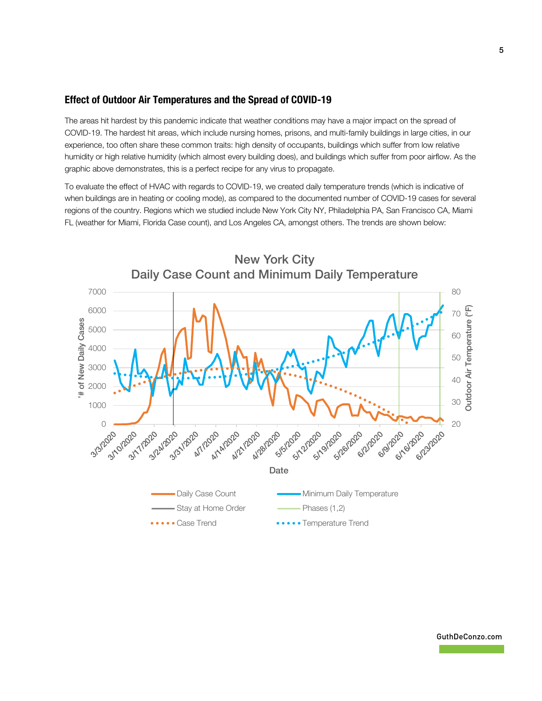## **Effect of Outdoor Air Temperatures and the Spread of COVID-19**

The areas hit hardest by this pandemic indicate that weather conditions may have a major impact on the spread of COVID-19. The hardest hit areas, which include nursing homes, prisons, and multi-family buildings in large cities, in our experience, too often share these common traits: high density of occupants, buildings which suffer from low relative humidity or high relative humidity (which almost every building does), and buildings which suffer from poor airflow. As the graphic above demonstrates, this is a perfect recipe for any virus to propagate.

To evaluate the effect of HVAC with regards to COVID-19, we created daily temperature trends (which is indicative of when buildings are in heating or cooling mode), as compared to the documented number of COVID-19 cases for several regions of the country. Regions which we studied include New York City NY, Philadelphia PA, San Francisco CA, Miami FL (weather for Miami, Florida Case count), and Los Angeles CA, amongst others. The trends are shown below:

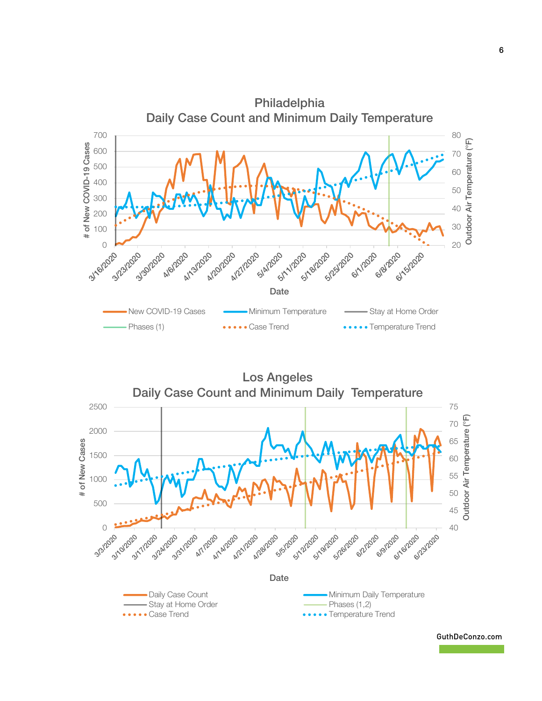

Los Angeles

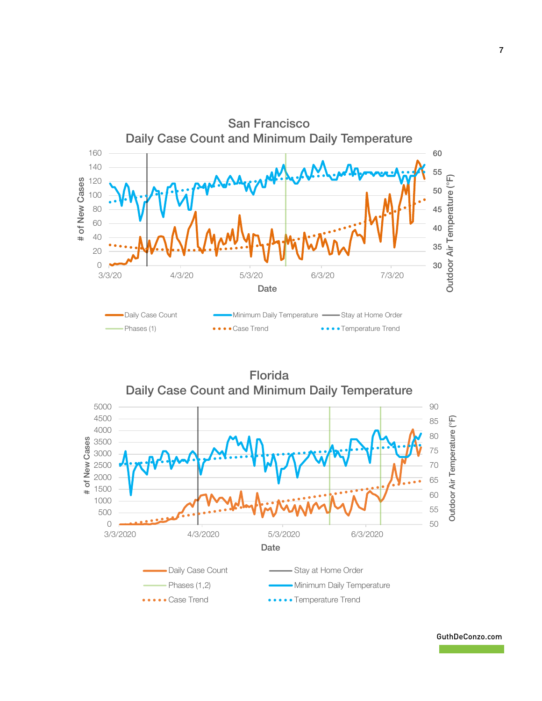

Florida Daily Case Count and Minimum Daily Temperature

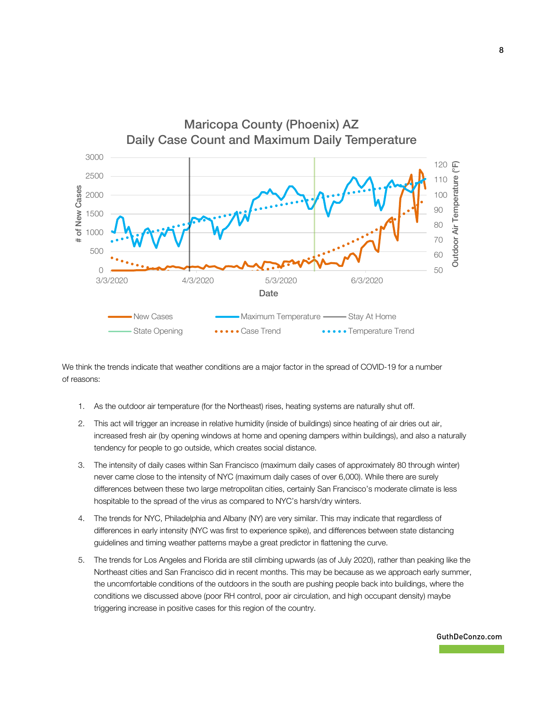

We think the trends indicate that weather conditions are a major factor in the spread of COVID-19 for a number of reasons:

- 1. As the outdoor air temperature (for the Northeast) rises, heating systems are naturally shut off.
- 2. This act will trigger an increase in relative humidity (inside of buildings) since heating of air dries out air, increased fresh air (by opening windows at home and opening dampers within buildings), and also a naturally tendency for people to go outside, which creates social distance.
- 3. The intensity of daily cases within San Francisco (maximum daily cases of approximately 80 through winter) never came close to the intensity of NYC (maximum daily cases of over 6,000). While there are surely differences between these two large metropolitan cities, certainly San Francisco's moderate climate is less hospitable to the spread of the virus as compared to NYC's harsh/dry winters.
- 4. The trends for NYC, Philadelphia and Albany (NY) are very similar. This may indicate that regardless of differences in early intensity (NYC was first to experience spike), and differences between state distancing guidelines and timing weather patterns maybe a great predictor in flattening the curve.
- 5. The trends for Los Angeles and Florida are still climbing upwards (as of July 2020), rather than peaking like the Northeast cities and San Francisco did in recent months. This may be because as we approach early summer, the uncomfortable conditions of the outdoors in the south are pushing people back into buildings, where the conditions we discussed above (poor RH control, poor air circulation, and high occupant density) maybe triggering increase in positive cases for this region of the country.